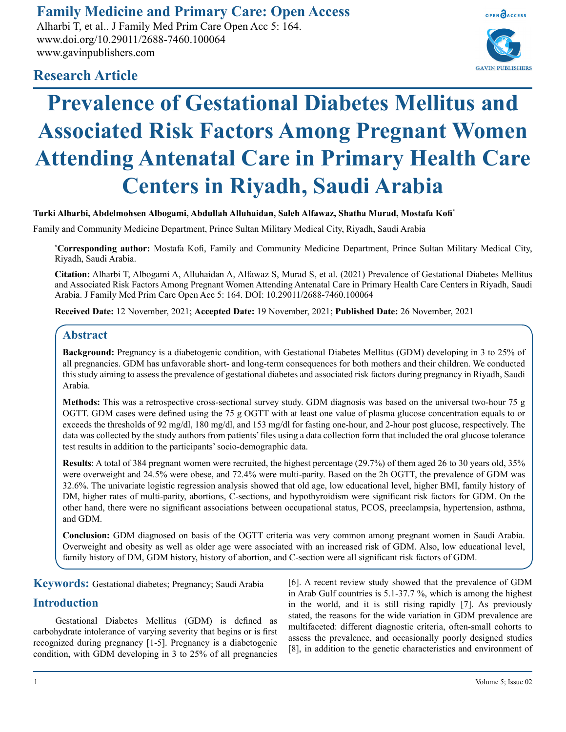# **Family Medicine and Primary Care: Open Access**

Alharbi T, et al.. J Family Med Prim Care Open Acc 5: 164. www.doi.org/10.29011/2688-7460.100064 www.gavinpublishers.com



# **Research Article**

# **Prevalence of Gestational Diabetes Mellitus and Associated Risk Factors Among Pregnant Women Attending Antenatal Care in Primary Health Care Centers in Riyadh, Saudi Arabia**

# **Turki Alharbi, Abdelmohsen Albogami, Abdullah Alluhaidan, Saleh Alfawaz, Shatha Murad, Mostafa Kofi\***

Family and Community Medicine Department, Prince Sultan Military Medical City, Riyadh, Saudi Arabia

**\* Corresponding author:** Mostafa Kofi, Family and Community Medicine Department, Prince Sultan Military Medical City, Riyadh, Saudi Arabia.

**Citation:** Alharbi T, Albogami A, Alluhaidan A, Alfawaz S, Murad S, et al. (2021) Prevalence of Gestational Diabetes Mellitus and Associated Risk Factors Among Pregnant Women Attending Antenatal Care in Primary Health Care Centers in Riyadh, Saudi Arabia. J Family Med Prim Care Open Acc 5: 164. DOI: 10.29011/2688-7460.100064

**Received Date:** 12 November, 2021; **Accepted Date:** 19 November, 2021; **Published Date:** 26 November, 2021

## **Abstract**

**Background:** Pregnancy is a diabetogenic condition, with Gestational Diabetes Mellitus (GDM) developing in 3 to 25% of all pregnancies. GDM has unfavorable short- and long-term consequences for both mothers and their children. We conducted this study aiming to assess the prevalence of gestational diabetes and associated risk factors during pregnancy in Riyadh, Saudi Arabia.

**Methods:** This was a retrospective cross-sectional survey study. GDM diagnosis was based on the universal two-hour 75 g OGTT. GDM cases were defined using the 75 g OGTT with at least one value of plasma glucose concentration equals to or exceeds the thresholds of 92 mg/dl, 180 mg/dl, and 153 mg/dl for fasting one-hour, and 2-hour post glucose, respectively. The data was collected by the study authors from patients' files using a data collection form that included the oral glucose tolerance test results in addition to the participants' socio-demographic data.

**Results**: A total of 384 pregnant women were recruited, the highest percentage (29.7%) of them aged 26 to 30 years old, 35% were overweight and 24.5% were obese, and 72.4% were multi-parity. Based on the 2h OGTT, the prevalence of GDM was 32.6%. The univariate logistic regression analysis showed that old age, low educational level, higher BMI, family history of DM, higher rates of multi-parity, abortions, C-sections, and hypothyroidism were significant risk factors for GDM. On the other hand, there were no significant associations between occupational status, PCOS, preeclampsia, hypertension, asthma, and GDM.

**Conclusion:** GDM diagnosed on basis of the OGTT criteria was very common among pregnant women in Saudi Arabia. Overweight and obesity as well as older age were associated with an increased risk of GDM. Also, low educational level, family history of DM, GDM history, history of abortion, and C-section were all significant risk factors of GDM.

**Keywords:** Gestational diabetes; Pregnancy; Saudi Arabia

# **Introduction**

Gestational Diabetes Mellitus (GDM) is defined as carbohydrate intolerance of varying severity that begins or is first recognized during pregnancy [1-5]. Pregnancy is a diabetogenic condition, with GDM developing in 3 to 25% of all pregnancies [6]. A recent review study showed that the prevalence of GDM in Arab Gulf countries is 5.1-37.7 %, which is among the highest in the world, and it is still rising rapidly [7]. As previously stated, the reasons for the wide variation in GDM prevalence are multifaceted: different diagnostic criteria, often-small cohorts to assess the prevalence, and occasionally poorly designed studies [8], in addition to the genetic characteristics and environment of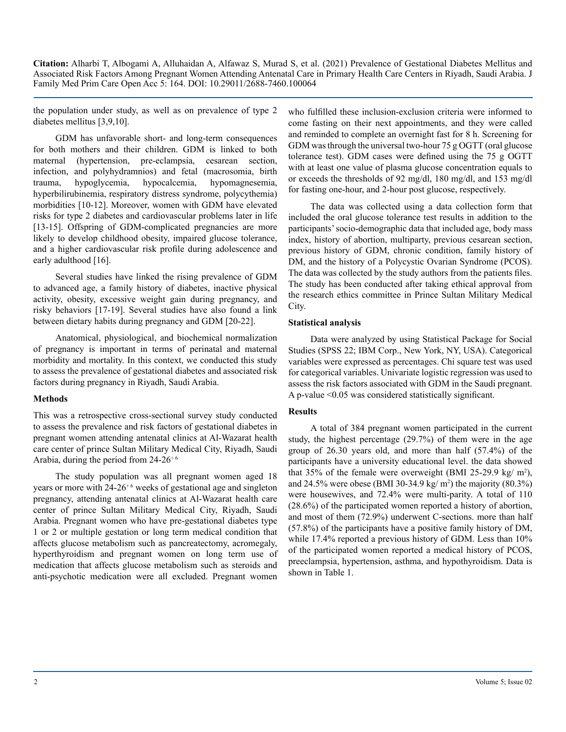the population under study, as well as on prevalence of type 2 diabetes mellitus [3,9,10].

GDM has unfavorable short- and long-term consequences for both mothers and their children. GDM is linked to both maternal (hypertension, pre-eclampsia, cesarean section, infection, and polyhydramnios) and fetal (macrosomia, birth trauma, hypoglycemia, hypocalcemia, hypomagnesemia, hyperbilirubinemia, respiratory distress syndrome, polycythemia) morbidities [10-12]. Moreover, women with GDM have elevated risks for type 2 diabetes and cardiovascular problems later in life [13-15]. Offspring of GDM-complicated pregnancies are more likely to develop childhood obesity, impaired glucose tolerance, and a higher cardiovascular risk profile during adolescence and early adulthood [16].

Several studies have linked the rising prevalence of GDM to advanced age, a family history of diabetes, inactive physical activity, obesity, excessive weight gain during pregnancy, and risky behaviors [17-19]. Several studies have also found a link between dietary habits during pregnancy and GDM [20-22].

Anatomical, physiological, and biochemical normalization of pregnancy is important in terms of perinatal and maternal morbidity and mortality. In this context, we conducted this study to assess the prevalence of gestational diabetes and associated risk factors during pregnancy in Riyadh, Saudi Arabia.

#### **Methods**

This was a retrospective cross-sectional survey study conducted to assess the prevalence and risk factors of gestational diabetes in pregnant women attending antenatal clinics at Al-Wazarat health care center of prince Sultan Military Medical City, Riyadh, Saudi Arabia, during the period from  $24-26+6$ 

The study population was all pregnant women aged 18 years or more with  $24-26+6$  weeks of gestational age and singleton pregnancy, attending antenatal clinics at Al-Wazarat health care center of prince Sultan Military Medical City, Riyadh, Saudi Arabia. Pregnant women who have pre-gestational diabetes type 1 or 2 or multiple gestation or long term medical condition that affects glucose metabolism such as pancreatectomy, acromegaly, hyperthyroidism and pregnant women on long term use of medication that affects glucose metabolism such as steroids and anti-psychotic medication were all excluded. Pregnant women

who fulfilled these inclusion-exclusion criteria were informed to come fasting on their next appointments, and they were called and reminded to complete an overnight fast for 8 h. Screening for GDM was through the universal two-hour 75 g OGTT (oral glucose tolerance test). GDM cases were defined using the 75 g OGTT with at least one value of plasma glucose concentration equals to or exceeds the thresholds of 92 mg/dl, 180 mg/dl, and 153 mg/dl for fasting one-hour, and 2-hour post glucose, respectively.

The data was collected using a data collection form that included the oral glucose tolerance test results in addition to the participants' socio-demographic data that included age, body mass index, history of abortion, multiparty, previous cesarean section, previous history of GDM, chronic condition, family history of DM, and the history of a Polycystic Ovarian Syndrome (PCOS). The data was collected by the study authors from the patients files. The study has been conducted after taking ethical approval from the research ethics committee in Prince Sultan Military Medical City.

#### **Statistical analysis**

Data were analyzed by using Statistical Package for Social Studies (SPSS 22; IBM Corp., New York, NY, USA). Categorical variables were expressed as percentages. Chi square test was used for categorical variables. Univariate logistic regression was used to assess the risk factors associated with GDM in the Saudi pregnant. A p-value <0.05 was considered statistically significant.

#### **Results**

A total of 384 pregnant women participated in the current study, the highest percentage (29.7%) of them were in the age group of 26.30 years old, and more than half (57.4%) of the participants have a university educational level. the data showed that 35% of the female were overweight (BMI 25-29.9 kg/ $m^2$ ), and 24.5% were obese (BMI 30-34.9 kg/  $m<sup>2</sup>$ ) the majority (80.3%) were housewives, and 72.4% were multi-parity. A total of 110 (28.6%) of the participated women reported a history of abortion, and most of them (72.9%) underwent C-sections. more than half (57.8%) of the participants have a positive family history of DM, while 17.4% reported a previous history of GDM. Less than  $10\%$ of the participated women reported a medical history of PCOS, preeclampsia, hypertension, asthma, and hypothyroidism. Data is shown in Table 1.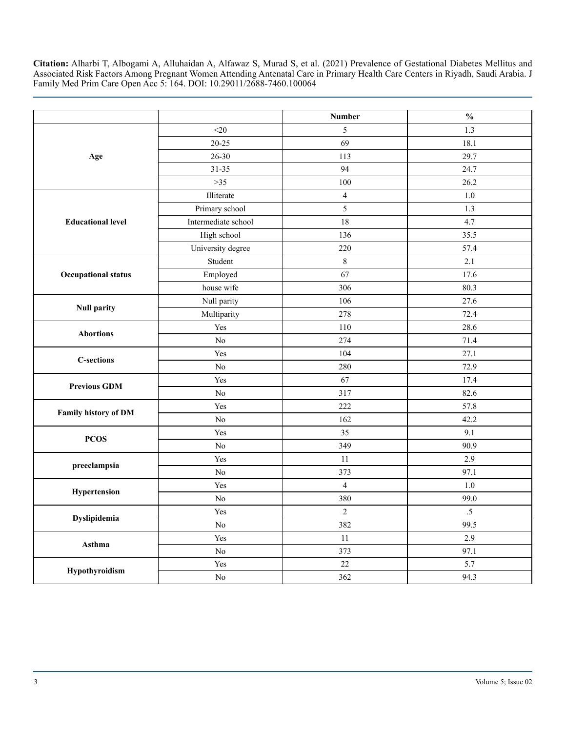|                             |                     | <b>Number</b>  | $\frac{0}{0}$ |
|-----------------------------|---------------------|----------------|---------------|
|                             | $<$ 20              | 5              | 1.3           |
| Age                         | $20 - 25$           | 69             | 18.1          |
|                             | $26 - 30$           | 113            | 29.7          |
|                             | 31-35               | 94             | 24.7          |
|                             | $>35$               | 100            | 26.2          |
|                             | Illiterate          | $\overline{4}$ | $1.0\,$       |
|                             | Primary school      | 5              | 1.3           |
| <b>Educational level</b>    | Intermediate school | 18             | 4.7           |
|                             | High school         | 136            | 35.5          |
|                             | University degree   | 220            | 57.4          |
|                             | Student             | $8\,$          | 2.1           |
| <b>Occupational status</b>  | Employed            | 67             | 17.6          |
|                             | house wife          | 306            | 80.3          |
| <b>Null parity</b>          | Null parity         | 106            | 27.6          |
|                             | Multiparity         | 278            | 72.4          |
| <b>Abortions</b>            | Yes                 | 110            | 28.6          |
|                             | $\rm No$            | 274            | 71.4          |
|                             | Yes                 | 104            | 27.1          |
| <b>C-sections</b>           | No                  | 280            | 72.9          |
| <b>Previous GDM</b>         | Yes                 | 67             | 17.4          |
|                             | No                  | 317            | 82.6          |
| <b>Family history of DM</b> | Yes                 | 222            | 57.8          |
|                             | No                  | 162            | 42.2          |
| <b>PCOS</b>                 | Yes                 | 35             | 9.1           |
|                             | $\rm No$            | 349            | 90.9          |
| preeclampsia                | Yes                 | 11             | 2.9           |
|                             | $\rm No$            | 373            | 97.1          |
|                             | Yes                 | $\overline{4}$ | $1.0\,$       |
| Hypertension                | No                  | 380            | 99.0          |
|                             | Yes                 | $\overline{2}$ | $.5\,$        |
| Dyslipidemia                | No                  | 382            | 99.5          |
| Asthma                      | Yes                 | 11             | 2.9           |
|                             | $\rm No$            | 373            | 97.1          |
| Hypothyroidism              | Yes                 | 22             | 5.7           |
|                             | N <sub>0</sub>      | 362            | 94.3          |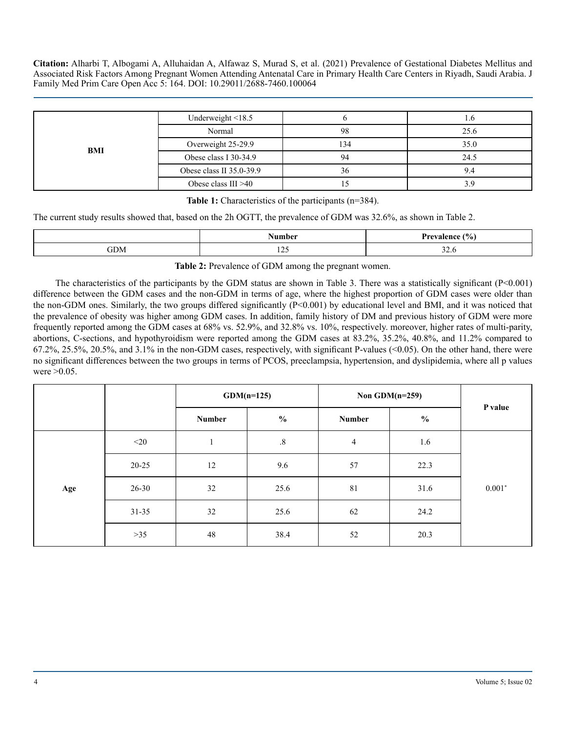| BMI | Underweight $\leq$ 18.5  |     |      |
|-----|--------------------------|-----|------|
|     | Normal                   | 98  | 25.6 |
|     | Overweight 25-29.9       | 134 | 35.0 |
|     | Obese class I 30-34.9    | 94  | 24.5 |
|     | Obese class II 35.0-39.9 | 36  | 9.4  |
|     | Obese class $III > 40$   |     |      |

**Table 1:** Characteristics of the participants (n=384).

The current study results showed that, based on the 2h OGTT, the prevalence of GDM was 32.6%, as shown in Table 2.

|     | lasan in oa                          | 'О.<br>,,,,,<br><b>00</b><br>70  <br>. |
|-----|--------------------------------------|----------------------------------------|
| ЭDМ | $\sim$ $\sim$ $\sim$<br>. <i>. .</i> | $\sim$<br>J∠.∪                         |

**Table 2:** Prevalence of GDM among the pregnant women.

The characteristics of the participants by the GDM status are shown in Table 3. There was a statistically significant (P<0.001) difference between the GDM cases and the non-GDM in terms of age, where the highest proportion of GDM cases were older than the non-GDM ones. Similarly, the two groups differed significantly (P<0.001) by educational level and BMI, and it was noticed that the prevalence of obesity was higher among GDM cases. In addition, family history of DM and previous history of GDM were more frequently reported among the GDM cases at 68% vs. 52.9%, and 32.8% vs. 10%, respectively. moreover, higher rates of multi-parity, abortions, C-sections, and hypothyroidism were reported among the GDM cases at 83.2%, 35.2%, 40.8%, and 11.2% compared to 67.2%, 25.5%, 20.5%, and 3.1% in the non-GDM cases, respectively, with significant P-values (<0.05). On the other hand, there were no significant differences between the two groups in terms of PCOS, preeclampsia, hypertension, and dyslipidemia, where all p values were >0.05.

|     |           | $GDM(n=125)$  |               | Non GDM $(n=259)$ |               |          |
|-----|-----------|---------------|---------------|-------------------|---------------|----------|
|     |           | <b>Number</b> | $\frac{0}{0}$ | <b>Number</b>     | $\frac{0}{0}$ | P value  |
|     | $<$ 20    | $\mathbf{1}$  | $.8\,$        | $\overline{4}$    | 1.6           |          |
| Age | $20 - 25$ | 12            | 9.6           | 57                | 22.3          |          |
|     | $26 - 30$ | 32            | 25.6          | 81                | 31.6          | $0.001*$ |
|     | $31 - 35$ | 32            | 25.6          | 62                | 24.2          |          |
|     | $>35$     | 48            | 38.4          | 52                | 20.3          |          |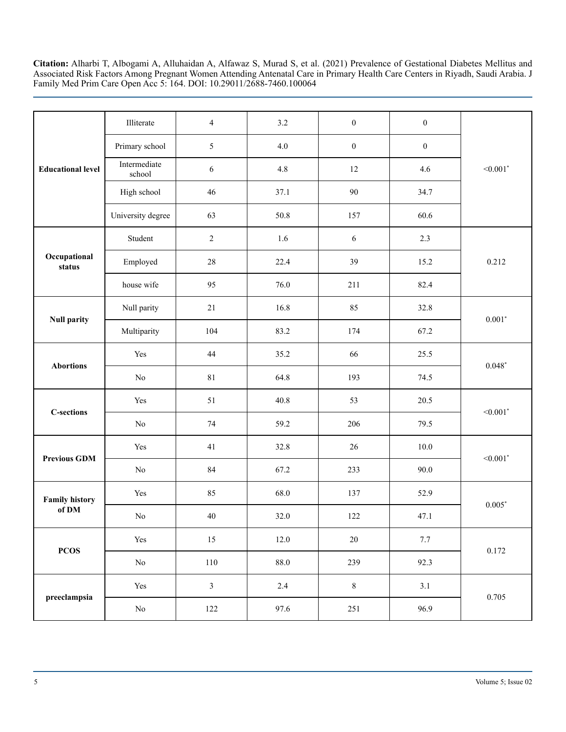| <b>Educational level</b> | Illiterate             | $\overline{4}$ | 3.2      | $\boldsymbol{0}$ | $\boldsymbol{0}$ |                        |
|--------------------------|------------------------|----------------|----------|------------------|------------------|------------------------|
|                          | Primary school         | $\sqrt{5}$     | 4.0      | $\boldsymbol{0}$ | $\boldsymbol{0}$ |                        |
|                          | Intermediate<br>school | 6              | 4.8      | $12\,$           | 4.6              | $< 0.001$ <sup>*</sup> |
|                          | High school            | 46             | 37.1     | 90               | 34.7             |                        |
|                          | University degree      | 63             | 50.8     | 157              | 60.6             |                        |
|                          | Student                | $\sqrt{2}$     | 1.6      | $\sqrt{6}$       | 2.3              |                        |
| Occupational<br>status   | Employed               | $28\,$         | 22.4     | 39               | 15.2             | 0.212                  |
|                          | house wife             | 95             | 76.0     | 211              | 82.4             |                        |
|                          | Null parity            | 21             | 16.8     | 85               | 32.8             | $0.001*$               |
| <b>Null parity</b>       | Multiparity            | 104            | 83.2     | 174              | 67.2             |                        |
| <b>Abortions</b>         | Yes                    | 44             | 35.2     | 66               | 25.5             | $0.048*$               |
|                          | $\rm No$               | 81             | 64.8     | 193              | 74.5             |                        |
|                          | Yes                    | 51             | 40.8     | 53               | 20.5             | $< 0.001$ <sup>*</sup> |
| <b>C-sections</b>        | $\rm No$               | $74\,$         | 59.2     | 206              | 79.5             |                        |
|                          | Yes                    | 41             | 32.8     | $26\,$           | $10.0\,$         | $< 0.001$ *            |
| <b>Previous GDM</b>      | $\rm No$               | $\rm 84$       | 67.2     | 233              | 90.0             |                        |
| <b>Family history</b>    | Yes                    | 85             | 68.0     | 137              | 52.9             | $0.005*$               |
| of DM                    | $\rm No$               | $40\,$         | $32.0\,$ | $122\,$          | 47.1             |                        |
| <b>PCOS</b>              | Yes                    | 15             | $12.0\,$ | $20\,$           | $7.7\,$          |                        |
|                          | $\rm No$               | 110            | $88.0\,$ | 239              | 92.3             | 0.172                  |
|                          | Yes                    | $\mathfrak{Z}$ | 2.4      | $\,$ 8 $\,$      | 3.1              |                        |
| preeclampsia             | $\rm No$               | 122            | 97.6     | 251              | 96.9             | 0.705                  |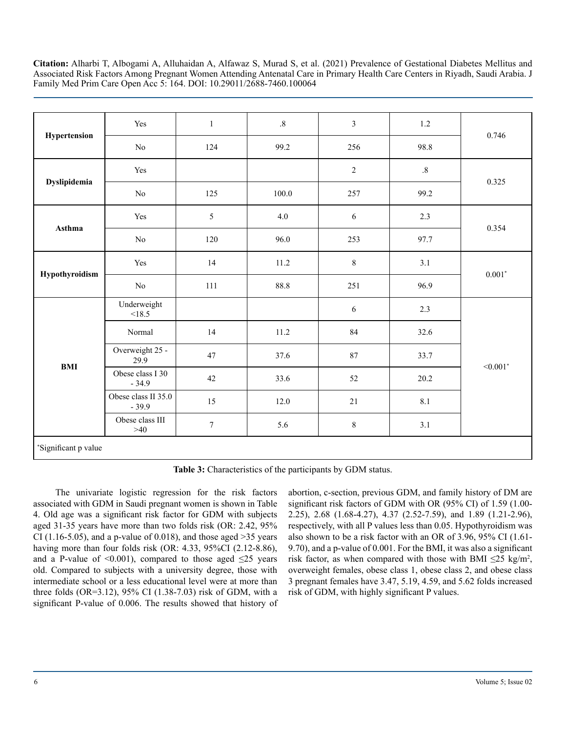|                      | Yes                            | $1\,$            | $.8\,$ | $\mathfrak{Z}$ | $1.2\,$ |             |
|----------------------|--------------------------------|------------------|--------|----------------|---------|-------------|
| Hypertension         | No                             | 124              | 99.2   | 256            | 98.8    | 0.746       |
| Dyslipidemia         | Yes                            |                  |        | $\sqrt{2}$     | $.8\,$  | 0.325       |
|                      | $\rm No$                       | 125              | 100.0  | 257            | 99.2    |             |
|                      | Yes                            | 5                | 4.0    | 6              | 2.3     | 0.354       |
| Asthma               | $\rm No$                       | 120              | 96.0   | 253            | 97.7    |             |
| Hypothyroidism       | Yes                            | 14               | 11.2   | $8\,$          | 3.1     | $0.001*$    |
|                      | $\rm No$                       | 111              | 88.8   | 251            | 96.9    |             |
|                      | Underweight<br><18.5           |                  |        | $\sqrt{6}$     | 2.3     |             |
|                      | Normal                         | 14               | 11.2   | 84             | 32.6    |             |
| <b>BMI</b>           | Overweight 25 -<br>29.9        | 47               | 37.6   | 87             | 33.7    | $< 0.001$ * |
|                      | Obese class I 30<br>$-34.9$    | 42               | 33.6   | 52             | 20.2    |             |
|                      | Obese class II 35.0<br>$-39.9$ | 15               | 12.0   | $21\,$         | 8.1     |             |
|                      | Obese class III<br>$>40$       | $\boldsymbol{7}$ | 5.6    | $8\,$          | 3.1     |             |
| *Significant p value |                                |                  |        |                |         |             |

**Table 3:** Characteristics of the participants by GDM status.

The univariate logistic regression for the risk factors associated with GDM in Saudi pregnant women is shown in Table 4. Old age was a significant risk factor for GDM with subjects aged 31-35 years have more than two folds risk (OR: 2.42, 95% CI (1.16-5.05), and a p-value of 0.018), and those aged  $>35$  years having more than four folds risk (OR: 4.33, 95%CI (2.12-8.86), and a P-value of  $\leq 0.001$ ), compared to those aged  $\leq 25$  years old. Compared to subjects with a university degree, those with intermediate school or a less educational level were at more than three folds (OR=3.12), 95% CI (1.38-7.03) risk of GDM, with a significant P-value of 0.006. The results showed that history of abortion, c-section, previous GDM, and family history of DM are significant risk factors of GDM with OR (95% CI) of 1.59 (1.00- 2.25), 2.68 (1.68-4.27), 4.37 (2.52-7.59), and 1.89 (1.21-2.96), respectively, with all P values less than 0.05. Hypothyroidism was also shown to be a risk factor with an OR of 3.96, 95% CI (1.61- 9.70), and a p-value of 0.001. For the BMI, it was also a significant risk factor, as when compared with those with BMI  $\leq 25$  kg/m<sup>2</sup>, overweight females, obese class 1, obese class 2, and obese class 3 pregnant females have 3.47, 5.19, 4.59, and 5.62 folds increased risk of GDM, with highly significant P values.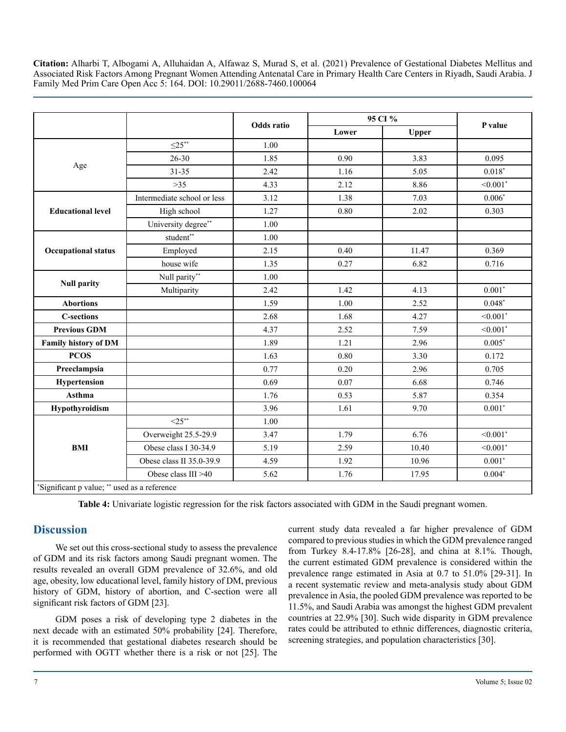|                                              |                             | 95 CI %    |       |              |                        |
|----------------------------------------------|-----------------------------|------------|-------|--------------|------------------------|
|                                              |                             | Odds ratio | Lower | <b>Upper</b> | P value                |
|                                              | $\leq 25$ **                | 1.00       |       |              |                        |
|                                              | $26 - 30$                   | 1.85       | 0.90  | 3.83         | 0.095                  |
| Age                                          | $31 - 35$                   | 2.42       | 1.16  | 5.05         | $0.018*$               |
|                                              | $>35$                       | 4.33       | 2.12  | 8.86         | $< 0.001$ *            |
|                                              | Intermediate school or less | 3.12       | 1.38  | 7.03         | $0.006*$               |
| <b>Educational level</b>                     | High school                 | 1.27       | 0.80  | 2.02         | 0.303                  |
|                                              | University degree**         | 1.00       |       |              |                        |
|                                              | $\mathsf{student}^{**}$     | 1.00       |       |              |                        |
| <b>Occupational status</b>                   | Employed                    | 2.15       | 0.40  | 11.47        | 0.369                  |
|                                              | house wife                  | 1.35       | 0.27  | 6.82         | 0.716                  |
|                                              | Null parity**               | 1.00       |       |              |                        |
| <b>Null parity</b>                           | Multiparity                 | 2.42       | 1.42  | 4.13         | $0.001*$               |
| <b>Abortions</b>                             |                             | 1.59       | 1.00  | 2.52         | $0.048*$               |
| <b>C-sections</b>                            |                             | 2.68       | 1.68  | 4.27         | $< 0.001$ *            |
| <b>Previous GDM</b>                          |                             | 4.37       | 2.52  | 7.59         | $< 0.001$ *            |
| Family history of DM                         |                             | 1.89       | 1.21  | 2.96         | $0.005*$               |
| <b>PCOS</b>                                  |                             | 1.63       | 0.80  | 3.30         | 0.172                  |
| Preeclampsia                                 |                             | 0.77       | 0.20  | 2.96         | 0.705                  |
| Hypertension                                 |                             | 0.69       | 0.07  | 6.68         | 0.746                  |
| <b>Asthma</b>                                |                             | 1.76       | 0.53  | 5.87         | 0.354                  |
| Hypothyroidism                               |                             | 3.96       | 1.61  | 9.70         | $0.001*$               |
|                                              | $<25**$                     | 1.00       |       |              |                        |
|                                              | Overweight 25.5-29.9        | 3.47       | 1.79  | 6.76         | $< 0.001$ <sup>*</sup> |
| <b>BMI</b>                                   | Obese class I 30-34.9       | 5.19       | 2.59  | 10.40        | $< 0.001$ *            |
|                                              | Obese class II 35.0-39.9    | 4.59       | 1.92  | 10.96        | $0.001*$               |
|                                              | Obese class $III > 40$      | 5.62       | 1.76  | 17.95        | $0.004*$               |
| *Significant p value; ** used as a reference |                             |            |       |              |                        |

**Table 4:** Univariate logistic regression for the risk factors associated with GDM in the Saudi pregnant women.

### **Discussion**

We set out this cross-sectional study to assess the prevalence of GDM and its risk factors among Saudi pregnant women. The results revealed an overall GDM prevalence of 32.6%, and old age, obesity, low educational level, family history of DM, previous history of GDM, history of abortion, and C-section were all significant risk factors of GDM [23].

GDM poses a risk of developing type 2 diabetes in the next decade with an estimated 50% probability [24]. Therefore, it is recommended that gestational diabetes research should be performed with OGTT whether there is a risk or not [25]. The

current study data revealed a far higher prevalence of GDM compared to previous studies in which the GDM prevalence ranged from Turkey 8.4-17.8% [26-28], and china at 8.1%. Though, the current estimated GDM prevalence is considered within the prevalence range estimated in Asia at 0.7 to 51.0% [29-31]. In a recent systematic review and meta-analysis study about GDM prevalence in Asia, the pooled GDM prevalence was reported to be 11.5%, and Saudi Arabia was amongst the highest GDM prevalent countries at 22.9% [30]. Such wide disparity in GDM prevalence rates could be attributed to ethnic differences, diagnostic criteria, screening strategies, and population characteristics [30].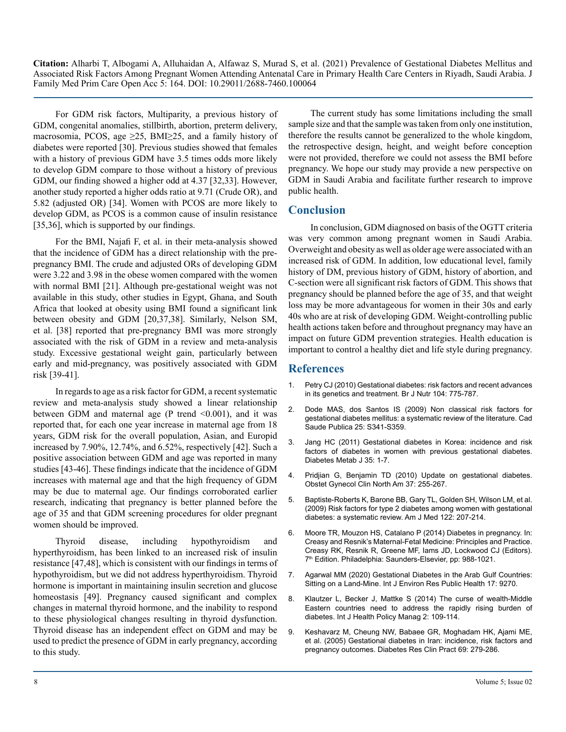For GDM risk factors, Multiparity, a previous history of GDM, congenital anomalies, stillbirth, abortion, preterm delivery, macrosomia, PCOS, age  $\geq$ 25, BMI $\geq$ 25, and a family history of diabetes were reported [30]. Previous studies showed that females with a history of previous GDM have 3.5 times odds more likely to develop GDM compare to those without a history of previous GDM, our finding showed a higher odd at 4.37 [32,33]. However, another study reported a higher odds ratio at 9.71 (Crude OR), and 5.82 (adjusted OR) [34]. Women with PCOS are more likely to develop GDM, as PCOS is a common cause of insulin resistance [35,36], which is supported by our findings.

For the BMI, Najafi F, et al. in their meta-analysis showed that the incidence of GDM has a direct relationship with the prepregnancy BMI. The crude and adjusted ORs of developing GDM were 3.22 and 3.98 in the obese women compared with the women with normal BMI [21]. Although pre-gestational weight was not available in this study, other studies in Egypt, Ghana, and South Africa that looked at obesity using BMI found a significant link between obesity and GDM [20,37,38]. Similarly, Nelson SM, et al. [38] reported that pre-pregnancy BMI was more strongly associated with the risk of GDM in a review and meta-analysis study. Excessive gestational weight gain, particularly between early and mid-pregnancy, was positively associated with GDM risk [39-41].

In regards to age as a risk factor for GDM, a recent systematic review and meta-analysis study showed a linear relationship between GDM and maternal age (P trend  $\leq 0.001$ ), and it was reported that, for each one year increase in maternal age from 18 years, GDM risk for the overall population, Asian, and Europid increased by 7.90%, 12.74%, and 6.52%, respectively [42]. Such a positive association between GDM and age was reported in many studies [43-46]. These findings indicate that the incidence of GDM increases with maternal age and that the high frequency of GDM may be due to maternal age. Our findings corroborated earlier research, indicating that pregnancy is better planned before the age of 35 and that GDM screening procedures for older pregnant women should be improved.

Thyroid disease, including hypothyroidism and hyperthyroidism, has been linked to an increased risk of insulin resistance [47,48], which is consistent with our findings in terms of hypothyroidism, but we did not address hyperthyroidism. Thyroid hormone is important in maintaining insulin secretion and glucose homeostasis [49]. Pregnancy caused significant and complex changes in maternal thyroid hormone, and the inability to respond to these physiological changes resulting in thyroid dysfunction. Thyroid disease has an independent effect on GDM and may be used to predict the presence of GDM in early pregnancy, according to this study.

The current study has some limitations including the small sample size and that the sample was taken from only one institution, therefore the results cannot be generalized to the whole kingdom, the retrospective design, height, and weight before conception were not provided, therefore we could not assess the BMI before pregnancy. We hope our study may provide a new perspective on GDM in Saudi Arabia and facilitate further research to improve public health.

# **Conclusion**

In conclusion, GDM diagnosed on basis of the OGTT criteria was very common among pregnant women in Saudi Arabia. Overweight and obesity as well as older age were associated with an increased risk of GDM. In addition, low educational level, family history of DM, previous history of GDM, history of abortion, and C-section were all significant risk factors of GDM. This shows that pregnancy should be planned before the age of 35, and that weight loss may be more advantageous for women in their 30s and early 40s who are at risk of developing GDM. Weight-controlling public health actions taken before and throughout pregnancy may have an impact on future GDM prevention strategies. Health education is important to control a healthy diet and life style during pregnancy.

## **References**

- 1. [Petry CJ \(2010\) Gestational diabetes: risk factors and recent advances](https://pubmed.ncbi.nlm.nih.gov/20487576/)  [in its genetics and treatment. Br J Nutr 104: 775-787.](https://pubmed.ncbi.nlm.nih.gov/20487576/)
- 2. [Dode MAS, dos Santos IS \(2009\) Non classical risk factors for](https://pubmed.ncbi.nlm.nih.gov/20027384/)  [gestational diabetes mellitus: a systematic review of the literature. Cad](https://pubmed.ncbi.nlm.nih.gov/20027384/)  [Saude Publica 25: S341-S359.](https://pubmed.ncbi.nlm.nih.gov/20027384/)
- 3. [Jang HC \(2011\) Gestational diabetes in Korea: incidence and risk](https://pubmed.ncbi.nlm.nih.gov/21537406/)  [factors of diabetes in women with previous gestational diabetes.](https://pubmed.ncbi.nlm.nih.gov/21537406/)  [Diabetes Metab J 35: 1-7.](https://pubmed.ncbi.nlm.nih.gov/21537406/)
- 4. [Pridjian G, Benjamin TD \(2010\) Update on gestational diabetes.](https://pubmed.ncbi.nlm.nih.gov/20685552/)  [Obstet Gynecol Clin North Am 37: 255-267.](https://pubmed.ncbi.nlm.nih.gov/20685552/)
- 5. [Baptiste-Roberts K, Barone BB, Gary TL, Golden SH, Wilson LM, et al.](https://pubmed.ncbi.nlm.nih.gov/19272478/)  [\(2009\) Risk factors for type 2 diabetes among women with gestational](https://pubmed.ncbi.nlm.nih.gov/19272478/)  [diabetes: a systematic review. Am J Med 122: 207-214.](https://pubmed.ncbi.nlm.nih.gov/19272478/)
- 6. [Moore TR, Mouzon HS, Catalano P \(2014\) Diabetes in pregnancy. In:](https://obgyn.onlinelibrary.wiley.com/doi/full/10.1111/aogs.12555)  [Creasy and Resnik's Maternal-Fetal Medicine: Principles and Practice.](https://obgyn.onlinelibrary.wiley.com/doi/full/10.1111/aogs.12555)  [Creasy RK, Resnik R, Greene MF, Iams JD, Lockwood CJ \(Editors\).](https://obgyn.onlinelibrary.wiley.com/doi/full/10.1111/aogs.12555) 7<sup>th</sup> Edition. Philadelphia: Saunders-Elsevier, pp: 988-1021.
- 7. [Agarwal MM \(2020\) Gestational Diabetes in the Arab Gulf Countries:](https://www.ncbi.nlm.nih.gov/pmc/articles/PMC7763466/)  [Sitting on a Land-Mine. Int J Environ Res Public Health 17: 9270.](https://www.ncbi.nlm.nih.gov/pmc/articles/PMC7763466/)
- 8. [Klautzer L, Becker J, Mattke S \(2014\) The curse of wealth-Middle](https://pubmed.ncbi.nlm.nih.gov/24757686/)  [Eastern countries need to address the rapidly rising burden of](https://pubmed.ncbi.nlm.nih.gov/24757686/)  [diabetes. Int J Health Policy Manag 2: 109-114.](https://pubmed.ncbi.nlm.nih.gov/24757686/)
- 9. [Keshavarz M, Cheung NW, Babaee GR, Moghadam HK, Ajami ME,](https://pubmed.ncbi.nlm.nih.gov/16098925/)  [et al. \(2005\) Gestational diabetes in Iran: incidence, risk factors and](https://pubmed.ncbi.nlm.nih.gov/16098925/) [pregnancy outcomes. Diabetes Res Clin Pract 69: 279-286.](https://pubmed.ncbi.nlm.nih.gov/16098925/)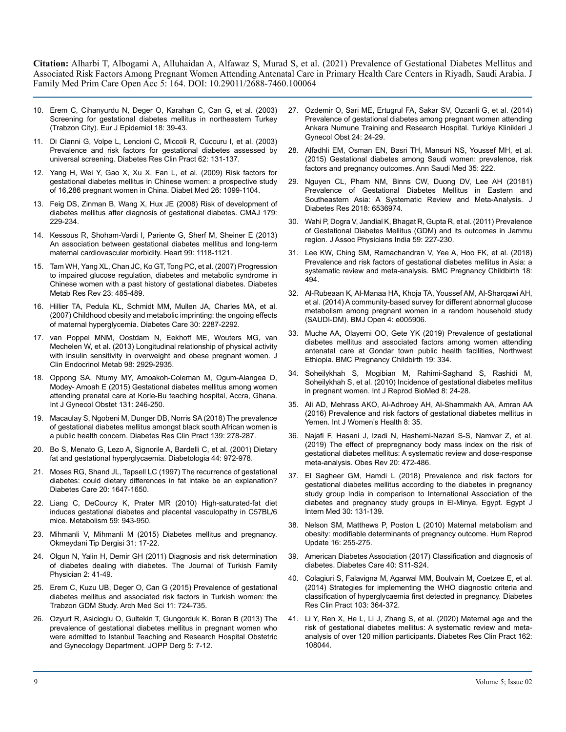- 10. [Erem C, Cihanyurdu N, Deger O, Karahan C, Can G, et al. \(2003\)](https://pubmed.ncbi.nlm.nih.gov/12705622/)  [Screening for gestational diabetes mellitus in northeastern Turkey](https://pubmed.ncbi.nlm.nih.gov/12705622/)  [\(Trabzon City\). Eur J Epidemiol 18: 39-43.](https://pubmed.ncbi.nlm.nih.gov/12705622/)
- 11. [Di Cianni G, Volpe L, Lencioni C, Miccoli R, Cuccuru I, et al. \(2003\)](https://pubmed.ncbi.nlm.nih.gov/14581150/)  [Prevalence and risk factors for gestational diabetes assessed by](https://pubmed.ncbi.nlm.nih.gov/14581150/)  [universal screening. Diabetes Res Clin Pract 62: 131-137.](https://pubmed.ncbi.nlm.nih.gov/14581150/)
- 12. [Yang H, Wei Y, Gao X, Xu X, Fan L, et al. \(2009\) Risk factors for](https://pubmed.ncbi.nlm.nih.gov/19929987/) [gestational diabetes mellitus in Chinese women: a prospective study](https://pubmed.ncbi.nlm.nih.gov/19929987/)  [of 16,286 pregnant women in China. Diabet Med 26: 1099-1104.](https://pubmed.ncbi.nlm.nih.gov/19929987/)
- 13. [Feig DS, Zinman B, Wang X, Hux JE \(2008\) Risk of development of](https://pubmed.ncbi.nlm.nih.gov/18663202/)  [diabetes mellitus after diagnosis of gestational diabetes. CMAJ 179:](https://pubmed.ncbi.nlm.nih.gov/18663202/)  [229-234.](https://pubmed.ncbi.nlm.nih.gov/18663202/)
- 14. [Kessous R, Shoham-Vardi I, Pariente G, Sherf M, Sheiner E \(2013\)](https://pubmed.ncbi.nlm.nih.gov/23749791/)  [An association between gestational diabetes mellitus and long-term](https://pubmed.ncbi.nlm.nih.gov/23749791/)  [maternal cardiovascular morbidity. Heart 99: 1118-1121.](https://pubmed.ncbi.nlm.nih.gov/23749791/)
- 15. [Tam WH, Yang XL, Chan JC, Ko GT, Tong PC, et al. \(2007\) Progression](https://pubmed.ncbi.nlm.nih.gov/17410525/) [to impaired glucose regulation, diabetes and metabolic syndrome in](https://pubmed.ncbi.nlm.nih.gov/17410525/)  [Chinese women with a past history of gestational diabetes. Diabetes](https://pubmed.ncbi.nlm.nih.gov/17410525/)  [Metab Res Rev 23: 485-489.](https://pubmed.ncbi.nlm.nih.gov/17410525/)
- 16. [Hillier TA, Pedula KL, Schmidt MM, Mullen JA, Charles MA, et al.](https://pubmed.ncbi.nlm.nih.gov/17519427/) [\(2007\) Childhood obesity and metabolic imprinting: the ongoing effects](https://pubmed.ncbi.nlm.nih.gov/17519427/)  [of maternal hyperglycemia. Diabetes Care 30: 2287-2292.](https://pubmed.ncbi.nlm.nih.gov/17519427/)
- 17. [van Poppel MNM, Oostdam N, Eekhoff ME, Wouters MG, van](https://pubmed.ncbi.nlm.nih.gov/23837192/) [Mechelen W, et al. \(2013\) Longitudinal relationship of physical activity](https://pubmed.ncbi.nlm.nih.gov/23837192/)  [with insulin sensitivity in overweight and obese pregnant women. J](https://pubmed.ncbi.nlm.nih.gov/23837192/) [Clin Endocrinol Metab 98: 2929-2935.](https://pubmed.ncbi.nlm.nih.gov/23837192/)
- 18. [Oppong SA, Ntumy MY, Amoakoh-Coleman M, Ogum-Alangea D,](https://pubmed.ncbi.nlm.nih.gov/26321217/)  [Modey- Amoah E \(2015\) Gestational diabetes mellitus among women](https://pubmed.ncbi.nlm.nih.gov/26321217/)  [attending prenatal care at Korle-Bu teaching hospital, Accra, Ghana.](https://pubmed.ncbi.nlm.nih.gov/26321217/)  [Int J Gynecol Obstet 131: 246-250.](https://pubmed.ncbi.nlm.nih.gov/26321217/)
- 19. [Macaulay S, Ngobeni M, Dunger DB, Norris SA \(2018\) The prevalence](https://pubmed.ncbi.nlm.nih.gov/29526682/)  [of gestational diabetes mellitus amongst black south African women is](https://pubmed.ncbi.nlm.nih.gov/29526682/)  [a public health concern. Diabetes Res Clin Pract 139: 278-287.](https://pubmed.ncbi.nlm.nih.gov/29526682/)
- 20. [Bo S, Menato G, Lezo A, Signorile A, Bardelli C, et al. \(2001\) Dietary](https://pubmed.ncbi.nlm.nih.gov/11484073/)  [fat and gestational hyperglycaemia. Diabetologia 44: 972-978.](https://pubmed.ncbi.nlm.nih.gov/11484073/)
- 21. [Moses RG, Shand JL, Tapsell LC \(1997\) The recurrence of gestational](https://pubmed.ncbi.nlm.nih.gov/9353601/)  [diabetes: could dietary differences in fat intake be an explanation?](https://pubmed.ncbi.nlm.nih.gov/9353601/)  [Diabetes Care 20: 1647-1650.](https://pubmed.ncbi.nlm.nih.gov/9353601/)
- 22. [Liang C, DeCourcy K, Prater MR \(2010\) High-saturated-fat diet](https://pubmed.ncbi.nlm.nih.gov/20022072/)  [induces gestational diabetes and placental vasculopathy in C57BL/6](https://pubmed.ncbi.nlm.nih.gov/20022072/)  [mice. Metabolism 59: 943-950.](https://pubmed.ncbi.nlm.nih.gov/20022072/)
- 23. [Mihmanli V, Mihmanli M \(2015\) Diabetes mellitus and pregnancy.](https://jag.journalagent.com/eamr/pdfs/OTD_31_SUP_EK_SAYI_17_22.pdf)  [Okmeydani Tip Dergisi 31: 17-22.](https://jag.journalagent.com/eamr/pdfs/OTD_31_SUP_EK_SAYI_17_22.pdf)
- 24. [Olgun N, Yalin H, Demir GH \(2011\) Diagnosis and risk determination](http://turkishfamilyphysician.com/articles/case-report/diagnosis-and-risk-determination-of-diabetes-dealing-with-diabetes/)  [of diabetes dealing with diabetes. The Journal of Turkish Family](http://turkishfamilyphysician.com/articles/case-report/diagnosis-and-risk-determination-of-diabetes-dealing-with-diabetes/)  [Physician 2: 41-49.](http://turkishfamilyphysician.com/articles/case-report/diagnosis-and-risk-determination-of-diabetes-dealing-with-diabetes/)
- 25. [Erem C, Kuzu UB, Deger O, Can G \(2015\) Prevalence of gestational](https://pubmed.ncbi.nlm.nih.gov/26322083/)  [diabetes mellitus and associated risk factors in Turkish women: the](https://pubmed.ncbi.nlm.nih.gov/26322083/)  [Trabzon GDM Study. Arch Med Sci 11: 724-735.](https://pubmed.ncbi.nlm.nih.gov/26322083/)
- 26. [Ozyurt R, Asicioglu O, Gultekin T, Gungorduk K, Boran B \(2013\) The](https://www.researchgate.net/publication/269955718_The_Prevalence_of_Gestational_Diabetes_Mellitus_in_Pregnant_Women_Who_were_Admitted_to_Istanbul_Teaching_and_Research_Hospital_Obstetric_and_Gynecology_Department) [prevalence of gestational diabetes mellitus in pregnant women who](https://www.researchgate.net/publication/269955718_The_Prevalence_of_Gestational_Diabetes_Mellitus_in_Pregnant_Women_Who_were_Admitted_to_Istanbul_Teaching_and_Research_Hospital_Obstetric_and_Gynecology_Department)  [were admitted to Istanbul Teaching and Research Hospital Obstetric](https://www.researchgate.net/publication/269955718_The_Prevalence_of_Gestational_Diabetes_Mellitus_in_Pregnant_Women_Who_were_Admitted_to_Istanbul_Teaching_and_Research_Hospital_Obstetric_and_Gynecology_Department)  [and Gynecology Department. JOPP Derg 5: 7-12.](https://www.researchgate.net/publication/269955718_The_Prevalence_of_Gestational_Diabetes_Mellitus_in_Pregnant_Women_Who_were_Admitted_to_Istanbul_Teaching_and_Research_Hospital_Obstetric_and_Gynecology_Department)
- 27. [Ozdemir O, Sari ME, Ertugrul FA, Sakar SV, Ozcanli G, et al. \(2014\)](https://www.jcog.com.tr/article/en-prevalence-of-gestational-diabetes-among-pregnant-women-attending-ankara-numune-training-and-research-hospital-68376.html)  [Prevalence of gestational diabetes among pregnant women attending](https://www.jcog.com.tr/article/en-prevalence-of-gestational-diabetes-among-pregnant-women-attending-ankara-numune-training-and-research-hospital-68376.html)  [Ankara Numune Training and Research Hospital. Turkiye Klinikleri J](https://www.jcog.com.tr/article/en-prevalence-of-gestational-diabetes-among-pregnant-women-attending-ankara-numune-training-and-research-hospital-68376.html)  [Gynecol Obst 24: 24-29.](https://www.jcog.com.tr/article/en-prevalence-of-gestational-diabetes-among-pregnant-women-attending-ankara-numune-training-and-research-hospital-68376.html)
- 28. [Alfadhli EM, Osman EN, Basri TH, Mansuri NS, Youssef MH, et al.](https://pubmed.ncbi.nlm.nih.gov/26409797/)  [\(2015\) Gestational diabetes among Saudi women: prevalence, risk](https://pubmed.ncbi.nlm.nih.gov/26409797/)  [factors and pregnancy outcomes. Ann Saudi Med 35: 222.](https://pubmed.ncbi.nlm.nih.gov/26409797/)
- 29. [Nguyen CL, Pham NM, Binns CW, Duong DV, Lee AH \(20181\)](https://pubmed.ncbi.nlm.nih.gov/29675432/)  [Prevalence of Gestational Diabetes Mellitus in Eastern and](https://pubmed.ncbi.nlm.nih.gov/29675432/)  [Southeastern Asia: A Systematic Review and Meta-Analysis. J](https://pubmed.ncbi.nlm.nih.gov/29675432/)  [Diabetes Res 2018: 6536974.](https://pubmed.ncbi.nlm.nih.gov/29675432/)
- 30. [Wahi P, Dogra V, Jandial K, Bhagat R, Gupta R, et al. \(2011\) Prevalence](https://pubmed.ncbi.nlm.nih.gov/21755759/)  [of Gestational Diabetes Mellitus \(GDM\) and its outcomes in Jammu](https://pubmed.ncbi.nlm.nih.gov/21755759/) [region. J Assoc Physicians India 59: 227-230.](https://pubmed.ncbi.nlm.nih.gov/21755759/)
- 31. [Lee KW, Ching SM, Ramachandran V, Yee A, Hoo FK, et al. \(2018\)](https://pubmed.ncbi.nlm.nih.gov/30547769/)  [Prevalence and risk factors of gestational diabetes mellitus in Asia: a](https://pubmed.ncbi.nlm.nih.gov/30547769/)  [systematic review and meta-analysis. BMC Pregnancy Childbirth 18:](https://pubmed.ncbi.nlm.nih.gov/30547769/)  [494.](https://pubmed.ncbi.nlm.nih.gov/30547769/)
- 32. [Al-Rubeaan K, Al-Manaa HA, Khoja TA, Youssef AM, Al-Sharqawi AH,](https://pubmed.ncbi.nlm.nih.gov/25138813/)  [et al. \(2014\) A community-based survey for different abnormal glucose](https://pubmed.ncbi.nlm.nih.gov/25138813/)  [metabolism among pregnant women in a random household study](https://pubmed.ncbi.nlm.nih.gov/25138813/)  [\(SAUDI-DM\). BMJ Open 4: e005906.](https://pubmed.ncbi.nlm.nih.gov/25138813/)
- 33. [Muche AA, Olayemi OO, Gete YK \(2019\) Prevalence of gestational](https://bmcpregnancychildbirth.biomedcentral.com/articles/10.1186/s12884-019-2492-3)  [diabetes mellitus and associated factors among women attending](https://bmcpregnancychildbirth.biomedcentral.com/articles/10.1186/s12884-019-2492-3)  [antenatal care at Gondar town public health facilities, Northwest](https://bmcpregnancychildbirth.biomedcentral.com/articles/10.1186/s12884-019-2492-3)  [Ethiopia. BMC Pregnancy Childbirth 19: 334.](https://bmcpregnancychildbirth.biomedcentral.com/articles/10.1186/s12884-019-2492-3)
- 34. [Soheilykhah S, Mogibian M, Rahimi-Saghand S, Rashidi M,](https://journals.ssu.ac.ir/ijrmnew/article-1-171-en.html) [Soheilykhah S, et al. \(2010\) Incidence of gestational diabetes mellitus](https://journals.ssu.ac.ir/ijrmnew/article-1-171-en.html)  [in pregnant women. Int J Reprod BioMed 8: 24-28.](https://journals.ssu.ac.ir/ijrmnew/article-1-171-en.html)
- 35. [Ali AD, Mehrass AKO, Al-Adhroey AH, Al-Shammakh AA, Amran AA](https://pubmed.ncbi.nlm.nih.gov/26869814/)  [\(2016\) Prevalence and risk factors of gestational diabetes mellitus in](https://pubmed.ncbi.nlm.nih.gov/26869814/)  [Yemen. Int J Women's Health 8: 35.](https://pubmed.ncbi.nlm.nih.gov/26869814/)
- 36. [Najafi F, Hasani J, Izadi N, Hashemi-Nazari S-S, Namvar Z, et al.](https://pubmed.ncbi.nlm.nih.gov/30536891/)  [\(2019\) The effect of prepregnancy body mass index on the risk of](https://pubmed.ncbi.nlm.nih.gov/30536891/)  [gestational diabetes mellitus: A systematic review and dose-response](https://pubmed.ncbi.nlm.nih.gov/30536891/)  [meta-analysis. Obes Rev 20: 472-486.](https://pubmed.ncbi.nlm.nih.gov/30536891/)
- 37. [El Sagheer GM, Hamdi L \(2018\) Prevalence and risk factors for](https://ejim.springeropen.com/articles/10.4103/ejim.ejim_11_18)  [gestational diabetes mellitus according to the diabetes in pregnancy](https://ejim.springeropen.com/articles/10.4103/ejim.ejim_11_18)  [study group India in comparison to International Association of the](https://ejim.springeropen.com/articles/10.4103/ejim.ejim_11_18)  [diabetes and pregnancy study groups in El-Minya, Egypt. Egypt J](https://ejim.springeropen.com/articles/10.4103/ejim.ejim_11_18)  [Intern Med 30: 131-139.](https://ejim.springeropen.com/articles/10.4103/ejim.ejim_11_18)
- 38. [Nelson SM, Matthews P, Poston L \(2010\) Maternal metabolism and](https://pubmed.ncbi.nlm.nih.gov/19966268/)  [obesity: modifiable determinants of pregnancy outcome. Hum Reprod](https://pubmed.ncbi.nlm.nih.gov/19966268/)  [Update 16: 255-275.](https://pubmed.ncbi.nlm.nih.gov/19966268/)
- 39. [American Diabetes Association \(2017\) Classification and diagnosis of](https://pubmed.ncbi.nlm.nih.gov/27979889/)  [diabetes. Diabetes Care 40: S11-S24.](https://pubmed.ncbi.nlm.nih.gov/27979889/)
- 40. [Colagiuri S, Falavigna M, Agarwal MM, Boulvain M, Coetzee E, et al.](https://pubmed.ncbi.nlm.nih.gov/24731475/)  [\(2014\) Strategies for implementing the WHO diagnostic criteria and](https://pubmed.ncbi.nlm.nih.gov/24731475/)  [classification of hyperglycaemia first detected in pregnancy. Diabetes](https://pubmed.ncbi.nlm.nih.gov/24731475/)  [Res Clin Pract 103: 364-372.](https://pubmed.ncbi.nlm.nih.gov/24731475/)
- 41. [Li Y, Ren X, He L, Li J, Zhang S, et al. \(2020\) Maternal age and the](https://pubmed.ncbi.nlm.nih.gov/32017960/)  [risk of gestational diabetes mellitus: A systematic review and meta](https://pubmed.ncbi.nlm.nih.gov/32017960/)[analysis of over 120 million participants. Diabetes Res Clin Pract 162:](https://pubmed.ncbi.nlm.nih.gov/32017960/)  [108044.](https://pubmed.ncbi.nlm.nih.gov/32017960/)